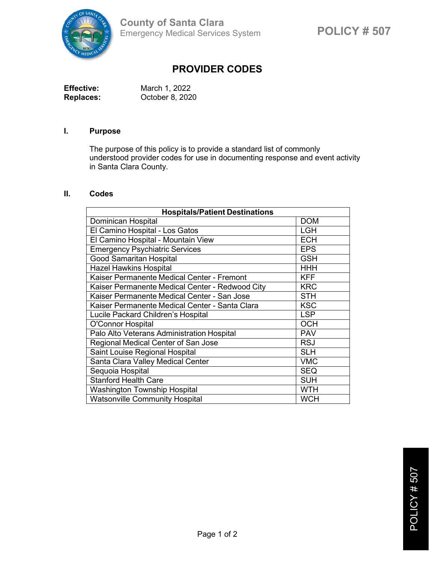

## **PROVIDER CODES**

| <b>Effective:</b> | March 1, 2022   |
|-------------------|-----------------|
| <b>Replaces:</b>  | October 8, 2020 |

## **I. Purpose**

The purpose of this policy is to provide a standard list of commonly understood provider codes for use in documenting response and event activity in Santa Clara County.

## **II. Codes**

| <b>Hospitals/Patient Destinations</b>           |            |  |
|-------------------------------------------------|------------|--|
| Dominican Hospital                              | <b>DOM</b> |  |
| El Camino Hospital - Los Gatos                  | <b>LGH</b> |  |
| El Camino Hospital - Mountain View              | <b>ECH</b> |  |
| <b>Emergency Psychiatric Services</b>           | <b>EPS</b> |  |
| <b>Good Samaritan Hospital</b>                  | <b>GSH</b> |  |
| <b>Hazel Hawkins Hospital</b>                   | <b>HHH</b> |  |
| Kaiser Permanente Medical Center - Fremont      | <b>KFF</b> |  |
| Kaiser Permanente Medical Center - Redwood City | <b>KRC</b> |  |
| Kaiser Permanente Medical Center - San Jose     | <b>STH</b> |  |
| Kaiser Permanente Medical Center - Santa Clara  | <b>KSC</b> |  |
| Lucile Packard Children's Hospital              | <b>LSP</b> |  |
| O'Connor Hospital                               | <b>OCH</b> |  |
| Palo Alto Veterans Administration Hospital      | <b>PAV</b> |  |
| Regional Medical Center of San Jose             | <b>RSJ</b> |  |
| Saint Louise Regional Hospital                  | <b>SLH</b> |  |
| Santa Clara Valley Medical Center               | <b>VMC</b> |  |
| Sequoia Hospital                                | <b>SEQ</b> |  |
| <b>Stanford Health Care</b>                     | <b>SUH</b> |  |
| <b>Washington Township Hospital</b>             | <b>WTH</b> |  |
| <b>Watsonville Community Hospital</b>           | <b>WCH</b> |  |